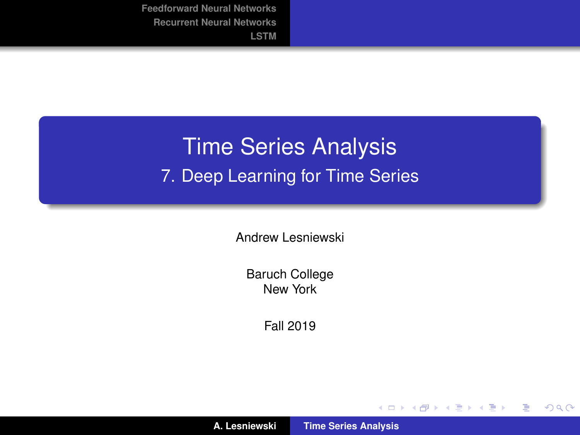# <span id="page-0-0"></span>Time Series Analysis 7. Deep Learning for Time Series

Andrew Lesniewski

Baruch College New York

Fall 2019

(ロトス個) (運) (運)

重

 $2Q$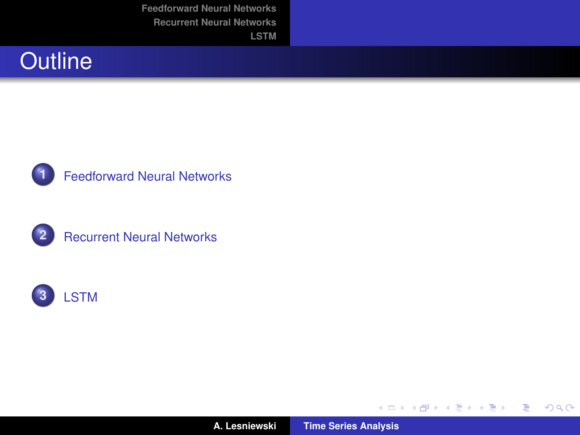





**2** [Recurrent Neural Networks](#page-13-0)



**A. Lesniewski [Time Series Analysis](#page-0-0)**

イロトス 伊 トス 言 トス 言 トー

 $E = \Omega Q$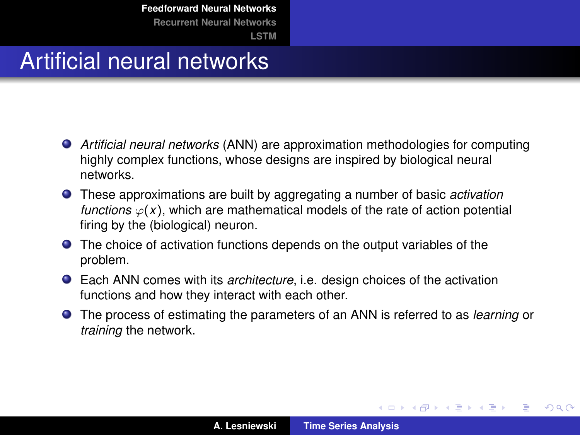### <span id="page-2-0"></span>Artificial neural networks

- *Artificial neural networks* (ANN) are approximation methodologies for computing highly complex functions, whose designs are inspired by biological neural networks.
- These approximations are built by aggregating a number of basic *activation functions*  $\varphi(x)$ , which are mathematical models of the rate of action potential firing by the (biological) neuron.
- **•** The choice of activation functions depends on the output variables of the problem.
- Each ANN comes with its *architecture*, i.e. design choices of the activation functions and how they interact with each other.
- The process of estimating the parameters of an ANN is referred to as *learning* or *training* the network.

イロメ イ部メ イ君メ イ君メー

 $QQ$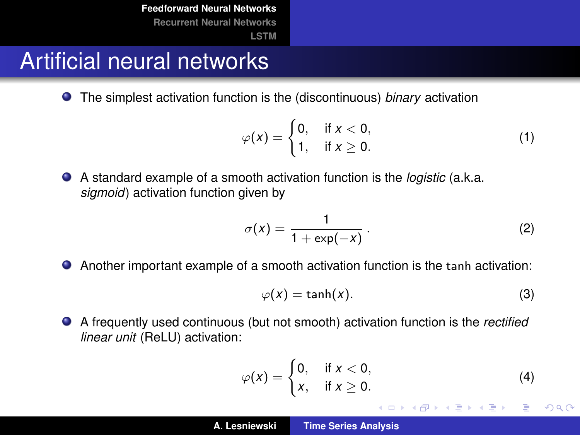#### Artificial neural networks

The simplest activation function is the (discontinuous) *binary* activation

$$
\varphi(x) = \begin{cases} 0, & \text{if } x < 0, \\ 1, & \text{if } x \ge 0. \end{cases} \tag{1}
$$

A standard example of a smooth activation function is the *logistic* (a.k.a. *sigmoid*) activation function given by

$$
\sigma(x) = \frac{1}{1 + \exp(-x)}.
$$
 (2)

Another important example of a smooth activation function is the tanh activation:

$$
\varphi(x) = \tanh(x). \tag{3}
$$

A frequently used continuous (but not smooth) activation function is the *rectified linear unit* (ReLU) activation:

$$
\varphi(x) = \begin{cases} 0, & \text{if } x < 0, \\ x, & \text{if } x \ge 0. \end{cases}
$$
 (4)

イロメ イ部メ イヨメ イヨメー

 $2Q$ 

重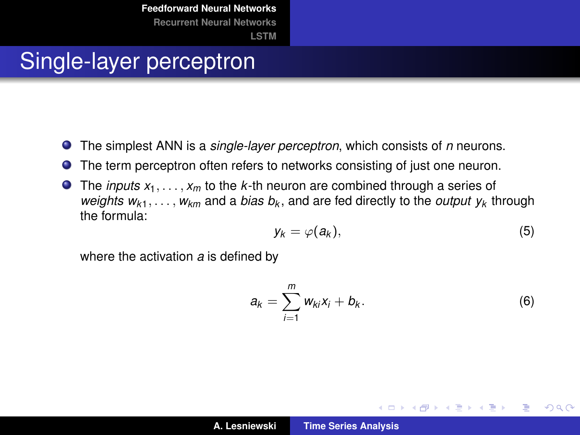### Single-layer perceptron

- The simplest ANN is a *single-layer perceptron*, which consists of *n* neurons.
- The term perceptron often refers to networks consisting of just one neuron.  $\bullet$
- $\bullet$  The *inputs*  $x_1, \ldots, x_m$  to the *k*-th neuron are combined through a series of *weights wk*1, . . . , *wkm* and a *bias b<sup>k</sup>* , and are fed directly to the *output y<sup>k</sup>* through the formula:

$$
y_k = \varphi(a_k), \tag{5}
$$

where the activation *a* is defined by

$$
a_k = \sum_{i=1}^m w_{ki} x_i + b_k.
$$
 (6)

イロメ イ部メ イヨメ イヨメー

重

 $298$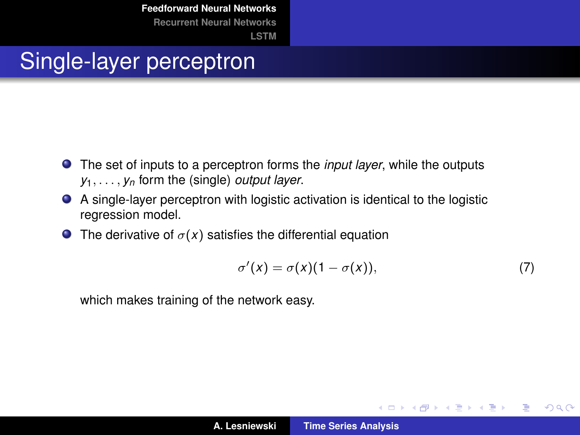# Single-layer perceptron

- The set of inputs to a perceptron forms the *input layer*, while the outputs *y*1, . . . , *y<sup>n</sup>* form the (single) *output layer*.
- A single-layer perceptron with logistic activation is identical to the logistic regression model.
- **The derivative of**  $\sigma(x)$  **satisfies the differential equation**

$$
\sigma'(x) = \sigma(x)(1 - \sigma(x)),\tag{7}
$$

イロメ イ部メ イヨメ イヨメー

 $2Q$ 

重

which makes training of the network easy.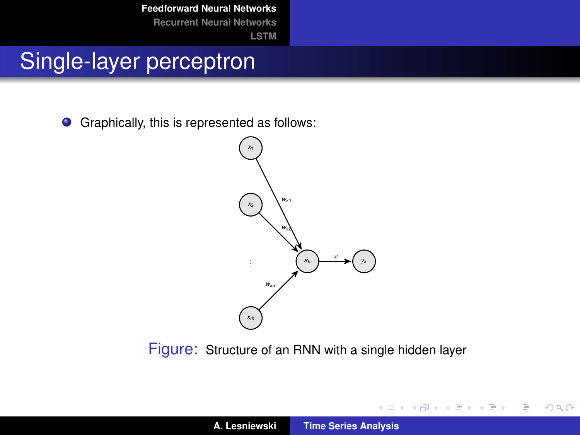# Single-layer perceptron

 $\bullet$ Graphically, this is represented as follows:

> *x*<sup>1</sup> *x*<sup>2</sup> *xm a<sup>k</sup> y<sup>k</sup> wk*<sup>1</sup> *wk*<sup>2</sup> *wkm* ϕ

Figure: Structure of an RNN with a single hidden layer

イロメ イ部メ イヨメ イヨメー

重

 $2Q$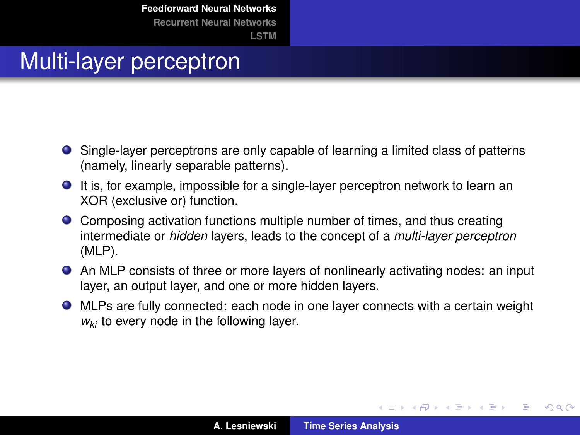#### Multi-layer perceptron

- Single-layer perceptrons are only capable of learning a limited class of patterns (namely, linearly separable patterns).
- It is, for example, impossible for a single-layer perceptron network to learn an XOR (exclusive or) function.
- Composing activation functions multiple number of times, and thus creating intermediate or *hidden* layers, leads to the concept of a *multi-layer perceptron* (MLP).
- An MLP consists of three or more layers of nonlinearly activating nodes: an input layer, an output layer, and one or more hidden layers.
- MLPs are fully connected: each node in one layer connects with a certain weight *wki* to every node in the following layer.

イロメ イ部メ イ君メ イ君メー

 $2Q$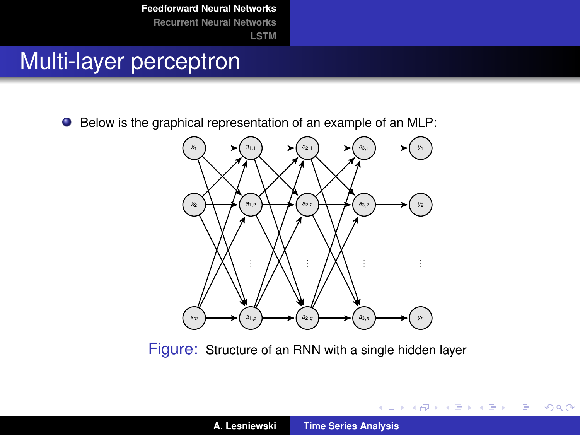## Multi-layer perceptron

● Below is the graphical representation of an example of an MLP:



Figure: Structure of an RNN with a single hidden layer

K ロ ▶ K 御 ▶ K 唐 ▶ K 唐 ▶ 『唐』

 $2Q$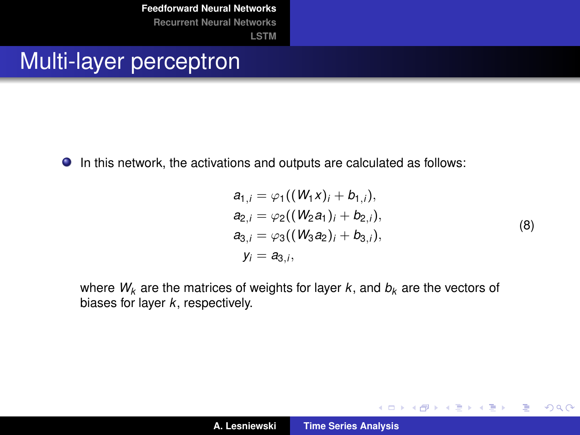**[LSTM](#page-21-0)**

#### Multi-layer perceptron

In this network, the activations and outputs are calculated as follows:

$$
a_{1,j} = \varphi_1((W_1X)_i + b_{1,i}),
$$
  
\n
$$
a_{2,i} = \varphi_2((W_2a_1)_i + b_{2,i}),
$$
  
\n
$$
a_{3,i} = \varphi_3((W_3a_2)_i + b_{3,i}),
$$
  
\n
$$
y_i = a_{3,i},
$$
\n(8)

イロメ イ部メ イヨメ イヨメー

 $2Q$ 

重

where  $W_k$  are the matrices of weights for layer  $k$ , and  $b_k$  are the vectors of biases for layer *k*, respectively.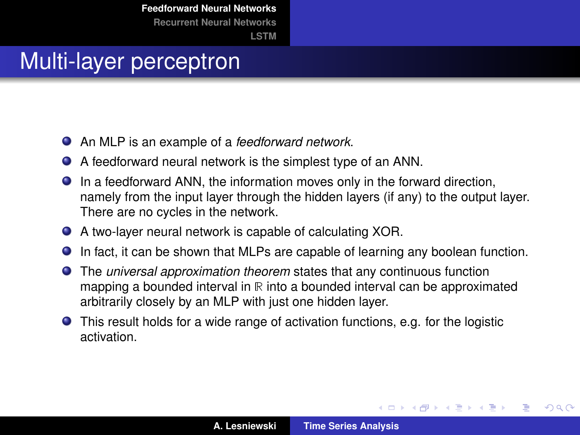#### Multi-layer perceptron

- An MLP is an example of a *feedforward network*.
- A feedforward neural network is the simplest type of an ANN.
- In a feedforward ANN, the information moves only in the forward direction, namely from the input layer through the hidden layers (if any) to the output layer. There are no cycles in the network.
- A two-layer neural network is capable of calculating XOR.
- In fact, it can be shown that MLPs are capable of learning any boolean function.
- The *universal approximation theorem* states that any continuous function mapping a bounded interval in  $R$  into a bounded interval can be approximated arbitrarily closely by an MLP with just one hidden layer.
- This result holds for a wide range of activation functions, e.g. for the logistic activation.

(ロトス個) (運) (運)

 $QQ$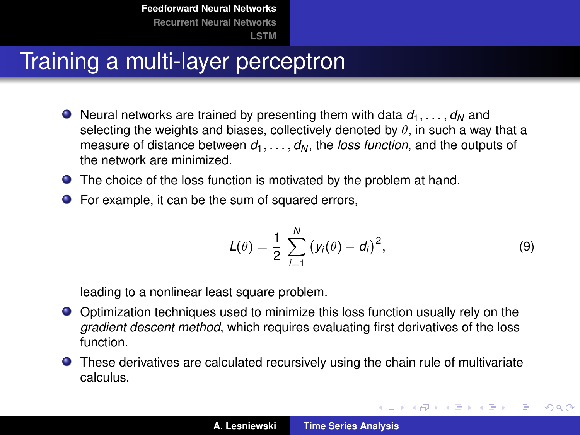## Training a multi-layer perceptron

- $\bullet$  Neural networks are trained by presenting them with data  $d_1, \ldots, d_N$  and selecting the weights and biases, collectively denoted by  $\theta$ , in such a way that a measure of distance between  $d_1, \ldots, d_N$ , the *loss function*, and the outputs of the network are minimized.
- **•** The choice of the loss function is motivated by the problem at hand.
- For example, it can be the sum of squared errors,

$$
L(\theta) = \frac{1}{2} \sum_{i=1}^{N} (y_i(\theta) - d_i)^2,
$$
 (9)

イロメ イ部メ イヨメ イヨメー

 $2Q$ ÷.

leading to a nonlinear least square problem.

- Optimization techniques used to minimize this loss function usually rely on the *gradient descent method*, which requires evaluating first derivatives of the loss function.
- **O** These derivatives are calculated recursively using the chain rule of multivariate calculus.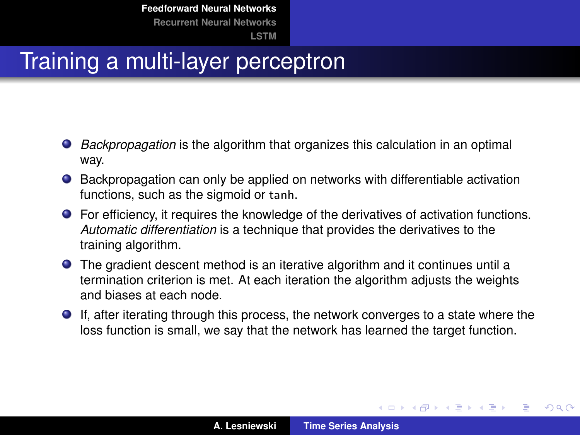## Training a multi-layer perceptron

- *Backpropagation* is the algorithm that organizes this calculation in an optimal way.
- Backpropagation can only be applied on networks with differentiable activation functions, such as the sigmoid or tanh.
- For efficiency, it requires the knowledge of the derivatives of activation functions. *Automatic differentiation* is a technique that provides the derivatives to the training algorithm.
- The gradient descent method is an iterative algorithm and it continues until a termination criterion is met. At each iteration the algorithm adjusts the weights and biases at each node.
- If, after iterating through this process, the network converges to a state where the loss function is small, we say that the network has learned the target function.

(ロトス個) (運) (運)

 $QQ$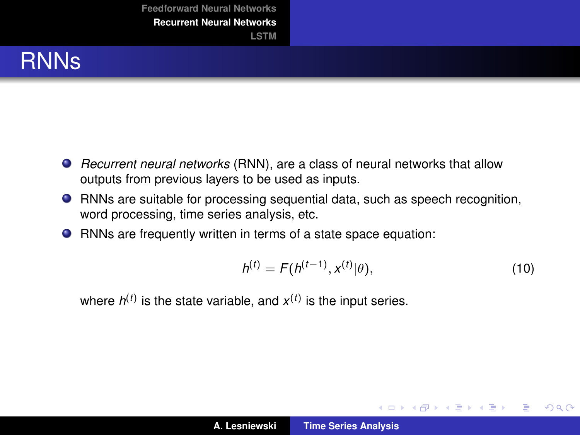#### <span id="page-13-0"></span>RNNs

- *Recurrent neural networks* (RNN), are a class of neural networks that allow outputs from previous layers to be used as inputs.
- RNNs are suitable for processing sequential data, such as speech recognition, word processing, time series analysis, etc.
- RNNs are frequently written in terms of a state space equation:

<span id="page-13-1"></span>
$$
h^{(t)} = F(h^{(t-1)}, x^{(t)} | \theta), \tag{10}
$$

イロメ イ部メ イヨメ イヨメー

÷.

 $2Q$ 

where  $h^{(t)}$  is the state variable, and  $x^{(t)}$  is the input series.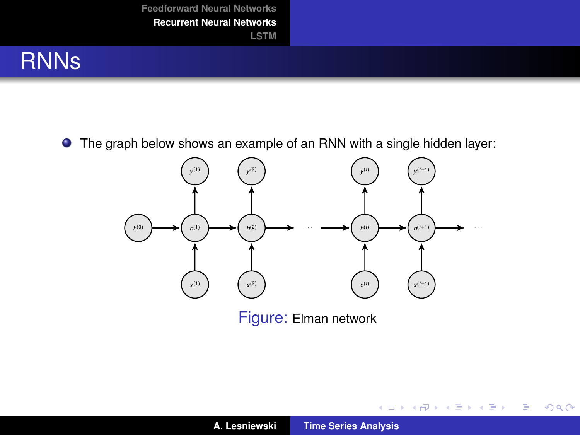

The graph below shows an example of an RNN with a single hidden layer:



Figure: Elman network

イロン イ母ン イヨン イヨン 一君

 $2Q$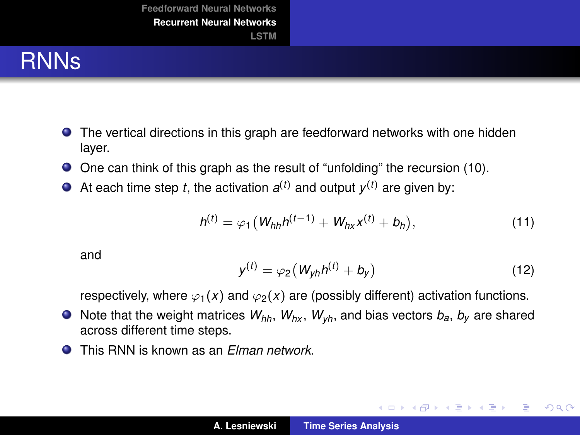### RNNs

- The vertical directions in this graph are feedforward networks with one hidden layer.
- One can think of this graph as the result of "unfolding" the recursion [\(10\)](#page-13-1).
- At each time step *t*, the activation  $a^{(t)}$  and output  $y^{(t)}$  are given by:

$$
h^{(t)} = \varphi_1 \left( W_{hh} h^{(t-1)} + W_{hx} x^{(t)} + b_h \right), \tag{11}
$$

and

$$
y^{(t)} = \varphi_2 \left( W_{yh} h^{(t)} + b_y \right) \tag{12}
$$

イロメ イ団メ イヨメ イヨメー

ミー  $298$ 

respectively, where  $\varphi_1(x)$  and  $\varphi_2(x)$  are (possibly different) activation functions.

- $\bullet$  Note that the weight matrices  $W_{hh}$ ,  $W_{hx}$ ,  $W_{vh}$ , and bias vectors  $b_a$ ,  $b_y$  are shared across different time steps.
- This RNN is known as an *Elman network*.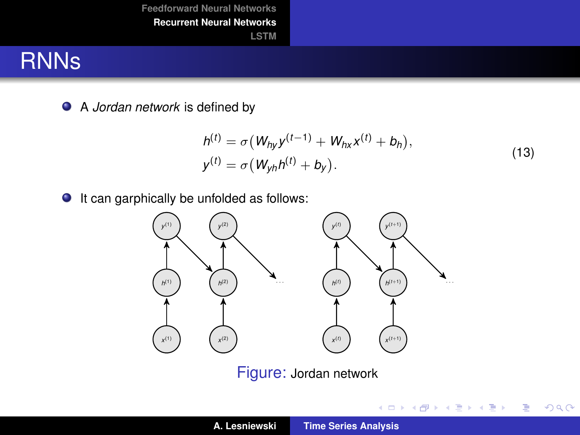#### RNNs

A *Jordan network* is defined by

$$
h^{(t)} = \sigma(W_{hy}y^{(t-1)} + W_{hx}x^{(t)} + b_h),
$$
  
\n
$$
y^{(t)} = \sigma(W_{yh}h^{(t)} + b_y).
$$
\n(13)

イロトメ 御 トメ 君 トメ 君 トー 君

 $298$ 

 $\bullet$  It can garphically be unfolded as follows:



Figure: Jordan network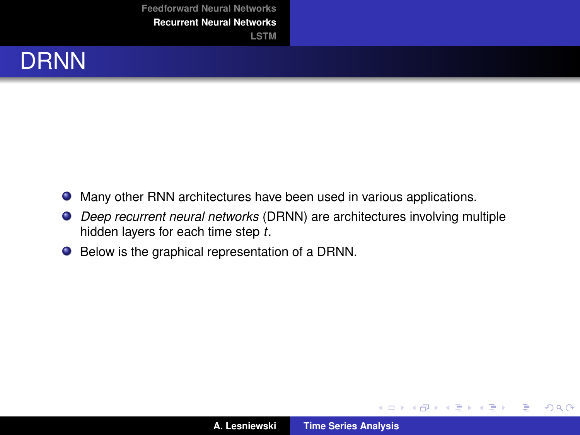

- Many other RNN architectures have been used in various applications.
- *Deep recurrent neural networks* (DRNN) are architectures involving multiple hidden layers for each time step *t*.
- Below is the graphical representation of a DRNN.

(ロトス個) (運) (運)

 $298$ 

重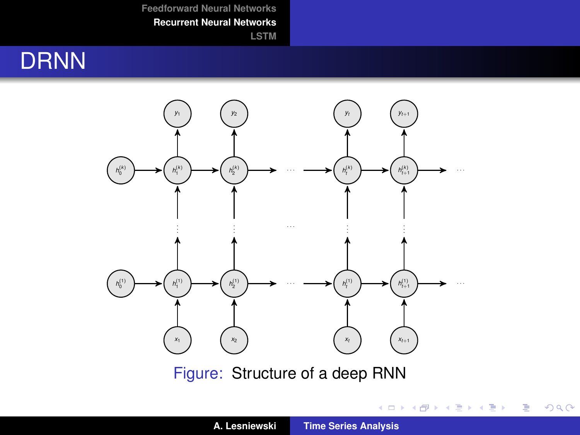**[LSTM](#page-21-0)**

## **DRNN**



Figure: Structure of a deep RNN

イロトメ 御 トメ 君 トメ 君 トッ 君

 $298$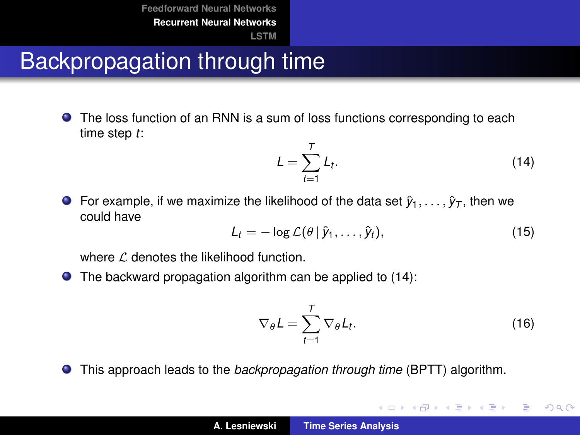# Backpropagation through time

The loss function of an RNN is a sum of loss functions corresponding to each time step *t*:

<span id="page-19-0"></span>
$$
L = \sum_{t=1}^{T} L_t.
$$
 (14)

**O** For example, if we maximize the likelihood of the data set  $\hat{y}_1, \ldots, \hat{y}_T$ , then we could have

$$
L_t = -\log \mathcal{L}(\theta | \hat{y}_1, \dots, \hat{y}_t), \qquad (15)
$$

where  $\ell$  denotes the likelihood function.

The backward propagation algorithm can be applied to [\(14\)](#page-19-0):  $\bullet$ 

$$
\nabla_{\theta} L = \sum_{t=1}^{T} \nabla_{\theta} L_t.
$$
 (16)

イロメ イ団メ イヨメ イヨメー

重

 $2Q$ 

This approach leads to the *backpropagation through time* (BPTT) algorithm.  $\bullet$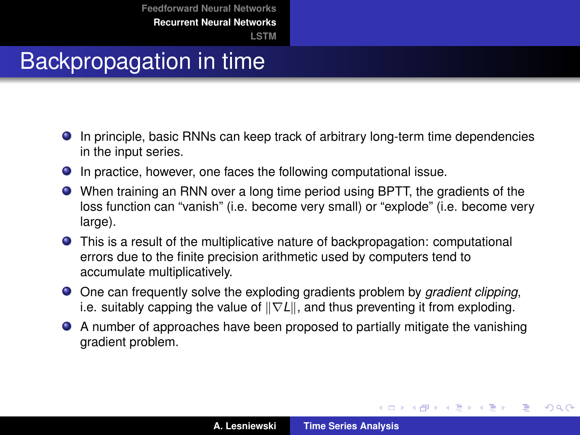# Backpropagation in time

- In principle, basic RNNs can keep track of arbitrary long-term time dependencies in the input series.
- In practice, however, one faces the following computational issue.
- When training an RNN over a long time period using BPTT, the gradients of the loss function can "vanish" (i.e. become very small) or "explode" (i.e. become very large).
- This is a result of the multiplicative nature of backpropagation: computational errors due to the finite precision arithmetic used by computers tend to accumulate multiplicatively.
- One can frequently solve the exploding gradients problem by *gradient clipping*, i.e. suitably capping the value of  $\|\nabla L\|$ , and thus preventing it from exploding.
- A number of approaches have been proposed to partially mitigate the vanishing gradient problem.

イロメ イ部メ イヨメ イヨメー

 $2Q$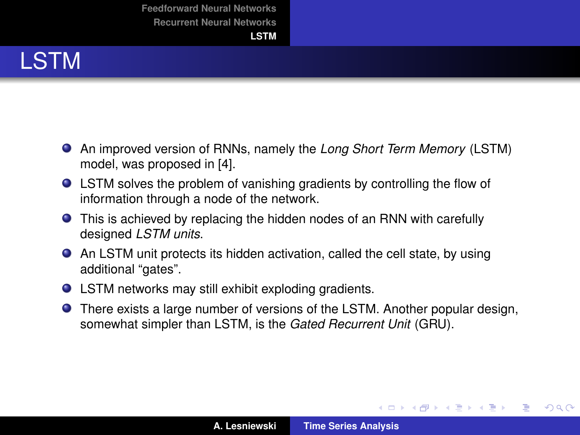# <span id="page-21-0"></span>LSTM

- An improved version of RNNs, namely the *Long Short Term Memory* (LSTM) model, was proposed in [\[4\]](#page-28-1).
- LSTM solves the problem of vanishing gradients by controlling the flow of information through a node of the network.
- This is achieved by replacing the hidden nodes of an RNN with carefully designed *LSTM units*.
- An LSTM unit protects its hidden activation, called the cell state, by using additional "gates".
- LSTM networks may still exhibit exploding gradients.
- There exists a large number of versions of the LSTM. Another popular design, somewhat simpler than LSTM, is the *Gated Recurrent Unit* (GRU).

イロメ イ部メ イ君メ イ君メー

 $2Q$ 

重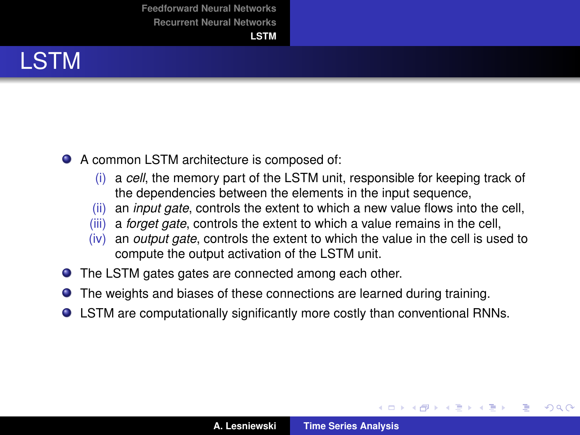#### LSTM

- A common LSTM architecture is composed of:
	- (i) a *cell*, the memory part of the LSTM unit, responsible for keeping track of the dependencies between the elements in the input sequence,
	- (ii) an *input gate*, controls the extent to which a new value flows into the cell,
	- (iii) a *forget gate*, controls the extent to which a value remains in the cell,
	- (iv) an *output gate*, controls the extent to which the value in the cell is used to compute the output activation of the LSTM unit.
- The LSTM gates gates are connected among each other.
- The weights and biases of these connections are learned during training.
- LSTM are computationally significantly more costly than conventional RNNs.

(ロトス個) (運) (運)

 $QQ$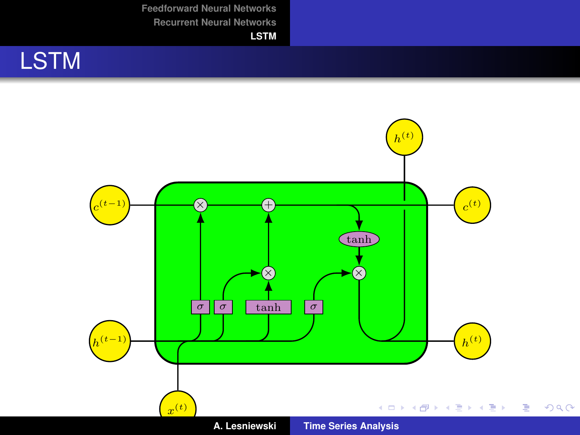**[LSTM](#page-21-0)**

# **LSTM**

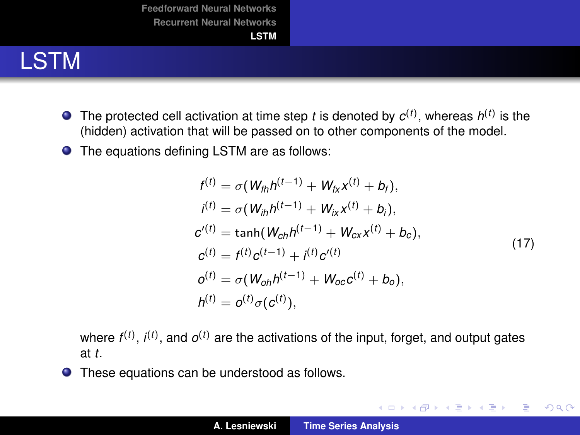

- The protected cell activation at time step  $t$  is denoted by  $c^{(t)}$ , whereas  $h^{(t)}$  is the (hidden) activation that will be passed on to other components of the model.
- The equations defining LSTM are as follows:

$$
f^{(t)} = \sigma(W_{th}h^{(t-1)} + W_{fx}x^{(t)} + b_f),
$$
  
\n
$$
i^{(t)} = \sigma(W_{th}h^{(t-1)} + W_{ix}x^{(t)} + b_i),
$$
  
\n
$$
c^{(t)} = \tanh(W_{ch}h^{(t-1)} + W_{cx}x^{(t)} + b_c),
$$
  
\n
$$
c^{(t)} = f^{(t)}c^{(t-1)} + i^{(t)}c^{(t)}
$$
  
\n
$$
o^{(t)} = \sigma(W_{oh}h^{(t-1)} + W_{oc}c^{(t)} + b_o),
$$
  
\n
$$
h^{(t)} = o^{(t)}\sigma(c^{(t)}),
$$
\n(17)

K ロ ⊁ K 伊 ⊁ K 君 ⊁ K 君 ⊁ …

重し  $2QQ$ 

where  $f^{(t)}$ ,  $i^{(t)}$ , and  $o^{(t)}$  are the activations of the input, forget, and output gates at *t*.

These equations can be understood as follows.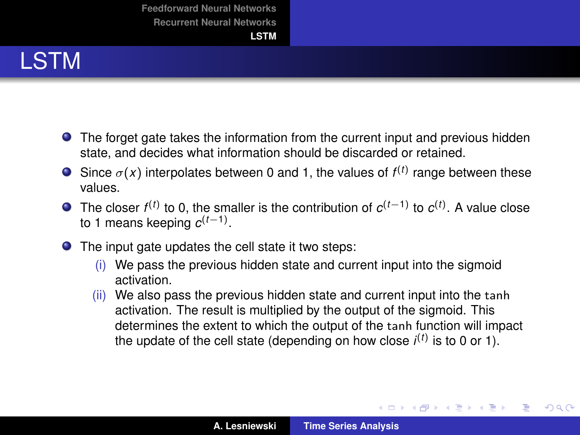## LSTM

- **•** The forget gate takes the information from the current input and previous hidden state, and decides what information should be discarded or retained.
- Since  $\sigma(x)$  interpolates between 0 and 1, the values of  $f^{(t)}$  range between these values.
- The closer  $f^{(t)}$  to 0, the smaller is the contribution of  $c^{(t-1)}$  to  $c^{(t)}$ . A value close to 1 means keeping *c* (*t*−1) .
- The input gate updates the cell state it two steps:
	- $(i)$  We pass the previous hidden state and current input into the sigmoid activation.
	- (ii) We also pass the previous hidden state and current input into the tanh activation. The result is multiplied by the output of the sigmoid. This determines the extent to which the output of the tanh function will impact the update of the cell state (depending on how close  $i^{(t)}$  is to 0 or 1).

イロメ イ団 トイヨメ イヨメー

÷.

 $2Q$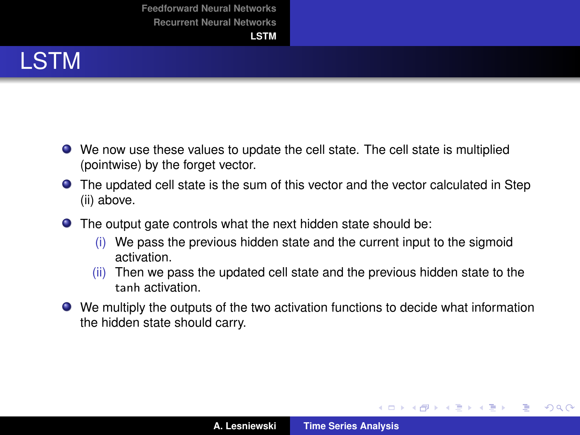## LSTM

- We now use these values to update the cell state. The cell state is multiplied (pointwise) by the forget vector.
- The updated cell state is the sum of this vector and the vector calculated in Step (ii) above.
- The output gate controls what the next hidden state should be:
	- (i) We pass the previous hidden state and the current input to the sigmoid activation.
	- (ii) Then we pass the updated cell state and the previous hidden state to the tanh activation.
- We multiply the outputs of the two activation functions to decide what information the hidden state should carry.

イロメ イ部メ イヨメ イヨメー

 $2Q$ 

重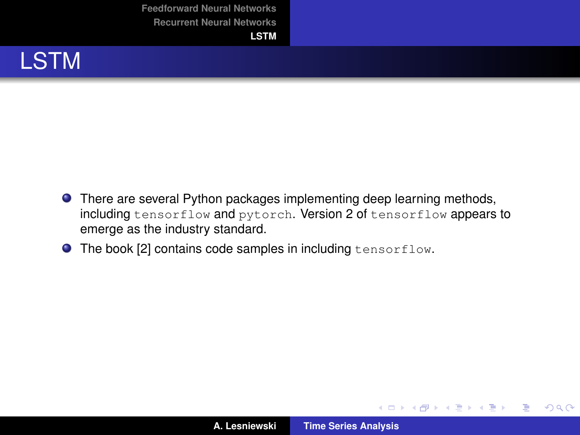

- **There are several Python packages implementing deep learning methods,** including tensorflow and pytorch. Version 2 of tensorflow appears to emerge as the industry standard.
- **O** The book [\[2\]](#page-28-2) contains code samples in including tensorflow.

(ロトス個) (運) (運)

重

 $2QQ$